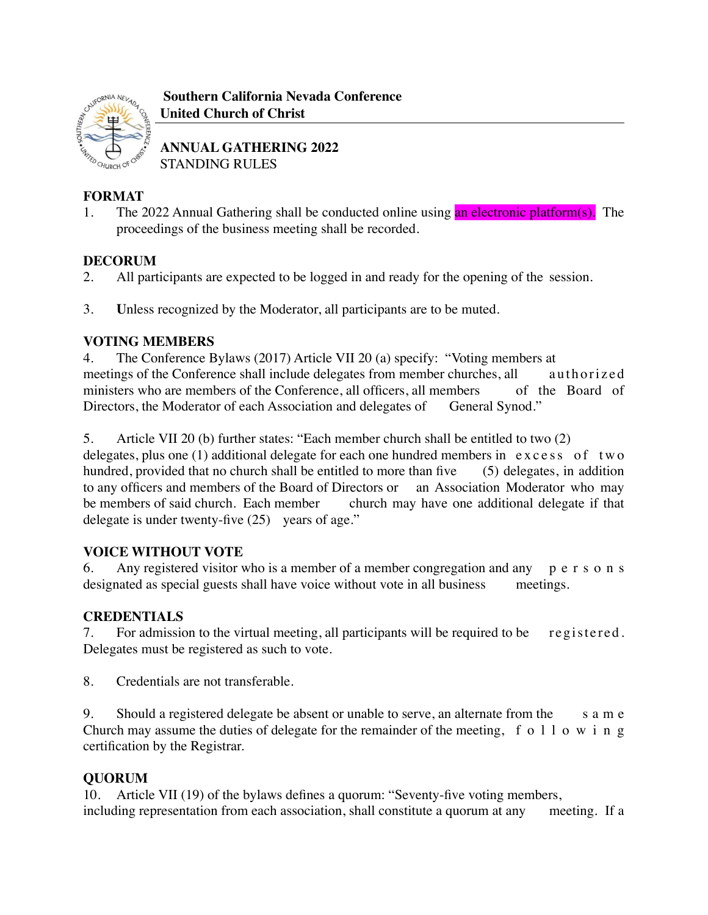

 **Southern California Nevada Conference United Church of Christ**

**ANNUAL GATHERING 2022** STANDING RULES

# **FORMAT**

1. The 2022 Annual Gathering shall be conducted online using an electronic platform(s). The proceedings of the business meeting shall be recorded.

# **DECORUM**

- 2. All participants are expected to be logged in and ready for the opening of the session.
- 3. **U**nless recognized by the Moderator, all participants are to be muted.

## **VOTING MEMBERS**

4. The Conference Bylaws (2017) Article VII 20 (a) specify: "Voting members at meetings of the Conference shall include delegates from member churches, all authorized ministers who are members of the Conference, all officers, all members of the Board of Directors, the Moderator of each Association and delegates of General Synod."

5. Article VII 20 (b) further states: "Each member church shall be entitled to two (2)

delegates, plus one  $(1)$  additional delegate for each one hundred members in excess of two hundred, provided that no church shall be entitled to more than five (5) delegates, in addition to any officers and members of the Board of Directors or an Association Moderator who may be members of said church. Each member church may have one additional delegate if that delegate is under twenty-five (25) years of age."

## **VOICE WITHOUT VOTE**

6. Any registered visitor who is a member of a member congregation and any p e r s o n s designated as special guests shall have voice without vote in all business meetings.

## **CREDENTIALS**

7. For admission to the virtual meeting, all participants will be required to be registered. Delegates must be registered as such to vote.

8. Credentials are not transferable.

9. Should a registered delegate be absent or unable to serve, an alternate from the s a m e Church may assume the duties of delegate for the remainder of the meeting, f o  $1 1$  o w i n g certification by the Registrar.

## **QUORUM**

10. Article VII (19) of the bylaws defines a quorum: "Seventy-five voting members, including representation from each association, shall constitute a quorum at any meeting. If a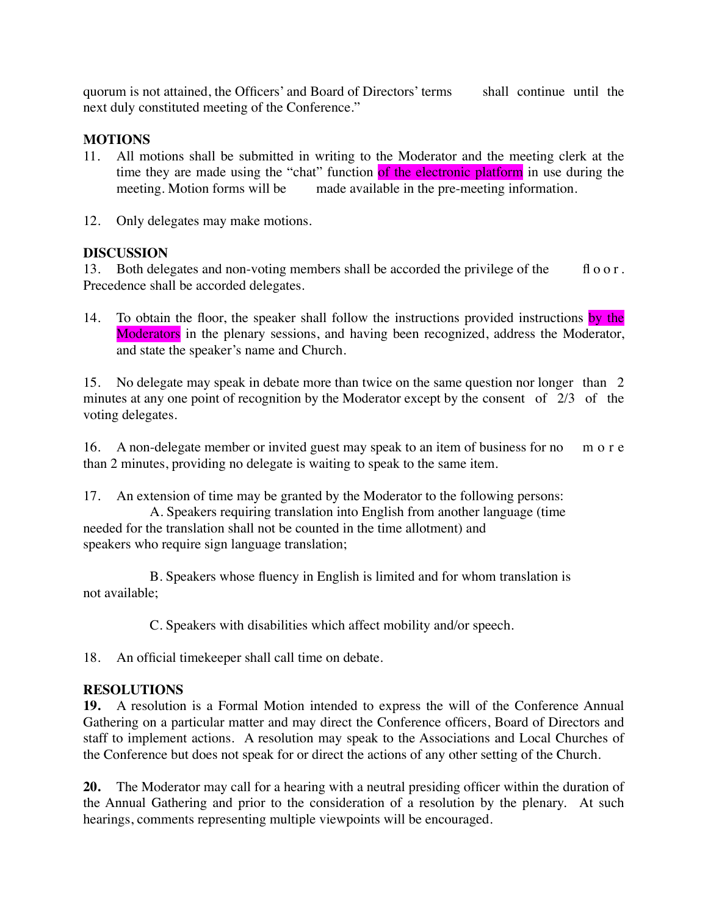quorum is not attained, the Officers' and Board of Directors' terms shall continue until the next duly constituted meeting of the Conference."

#### **MOTIONS**

- 11. All motions shall be submitted in writing to the Moderator and the meeting clerk at the time they are made using the "chat" function of the electronic platform in use during the meeting. Motion forms will be made available in the pre-meeting information.
- 12. Only delegates may make motions.

#### **DISCUSSION**

13. Both delegates and non-voting members shall be accorded the privilege of the fl o o r. Precedence shall be accorded delegates.

14. To obtain the floor, the speaker shall follow the instructions provided instructions by the Moderators in the plenary sessions, and having been recognized, address the Moderator, and state the speaker's name and Church.

15. No delegate may speak in debate more than twice on the same question nor longer than 2 minutes at any one point of recognition by the Moderator except by the consent of 2/3 of the voting delegates.

16. A non-delegate member or invited guest may speak to an item of business for no m o r e than 2 minutes, providing no delegate is waiting to speak to the same item.

17. An extension of time may be granted by the Moderator to the following persons: A. Speakers requiring translation into English from another language (time needed for the translation shall not be counted in the time allotment) and speakers who require sign language translation;

B. Speakers whose fluency in English is limited and for whom translation is not available;

C. Speakers with disabilities which affect mobility and/or speech.

18. An official timekeeper shall call time on debate.

#### **RESOLUTIONS**

**19.** A resolution is a Formal Motion intended to express the will of the Conference Annual Gathering on a particular matter and may direct the Conference officers, Board of Directors and staff to implement actions. A resolution may speak to the Associations and Local Churches of the Conference but does not speak for or direct the actions of any other setting of the Church.

**20.** The Moderator may call for a hearing with a neutral presiding officer within the duration of the Annual Gathering and prior to the consideration of a resolution by the plenary. At such hearings, comments representing multiple viewpoints will be encouraged.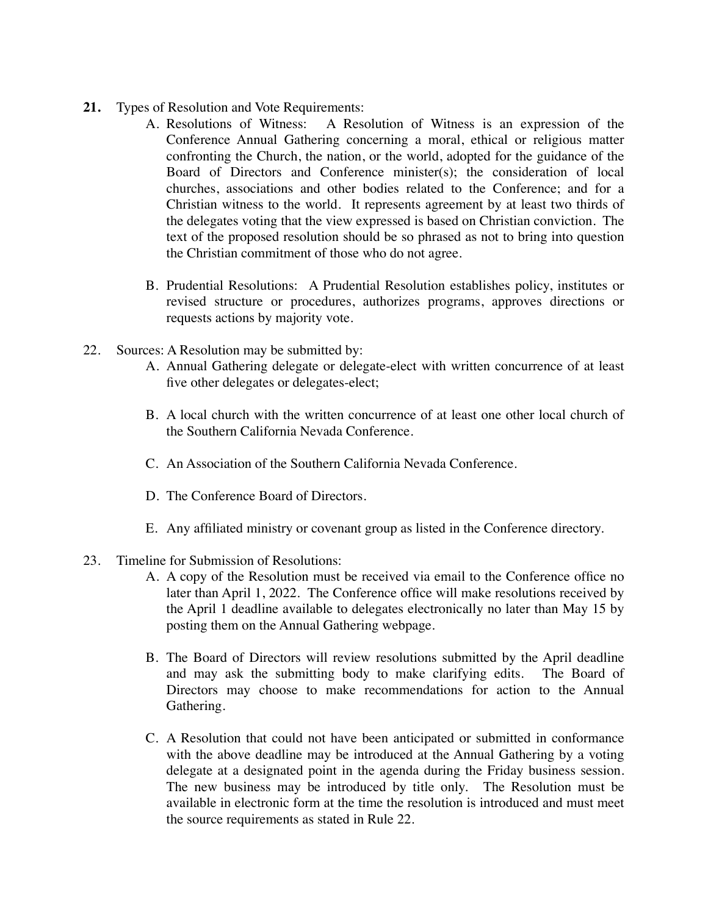- **21.** Types of Resolution and Vote Requirements:
	- A. Resolutions of Witness: A Resolution of Witness is an expression of the Conference Annual Gathering concerning a moral, ethical or religious matter confronting the Church, the nation, or the world, adopted for the guidance of the Board of Directors and Conference minister(s); the consideration of local churches, associations and other bodies related to the Conference; and for a Christian witness to the world. It represents agreement by at least two thirds of the delegates voting that the view expressed is based on Christian conviction. The text of the proposed resolution should be so phrased as not to bring into question the Christian commitment of those who do not agree.
	- B. Prudential Resolutions: A Prudential Resolution establishes policy, institutes or revised structure or procedures, authorizes programs, approves directions or requests actions by majority vote.
- 22. Sources: A Resolution may be submitted by:
	- A. Annual Gathering delegate or delegate-elect with written concurrence of at least five other delegates or delegates-elect;
	- B. A local church with the written concurrence of at least one other local church of the Southern California Nevada Conference.
	- C. An Association of the Southern California Nevada Conference.
	- D. The Conference Board of Directors.
	- E. Any affiliated ministry or covenant group as listed in the Conference directory.
- 23. Timeline for Submission of Resolutions:
	- A. A copy of the Resolution must be received via email to the Conference office no later than April 1, 2022. The Conference office will make resolutions received by the April 1 deadline available to delegates electronically no later than May 15 by posting them on the Annual Gathering webpage.
	- B. The Board of Directors will review resolutions submitted by the April deadline and may ask the submitting body to make clarifying edits. The Board of Directors may choose to make recommendations for action to the Annual Gathering.
	- C. A Resolution that could not have been anticipated or submitted in conformance with the above deadline may be introduced at the Annual Gathering by a voting delegate at a designated point in the agenda during the Friday business session. The new business may be introduced by title only. The Resolution must be available in electronic form at the time the resolution is introduced and must meet the source requirements as stated in Rule 22.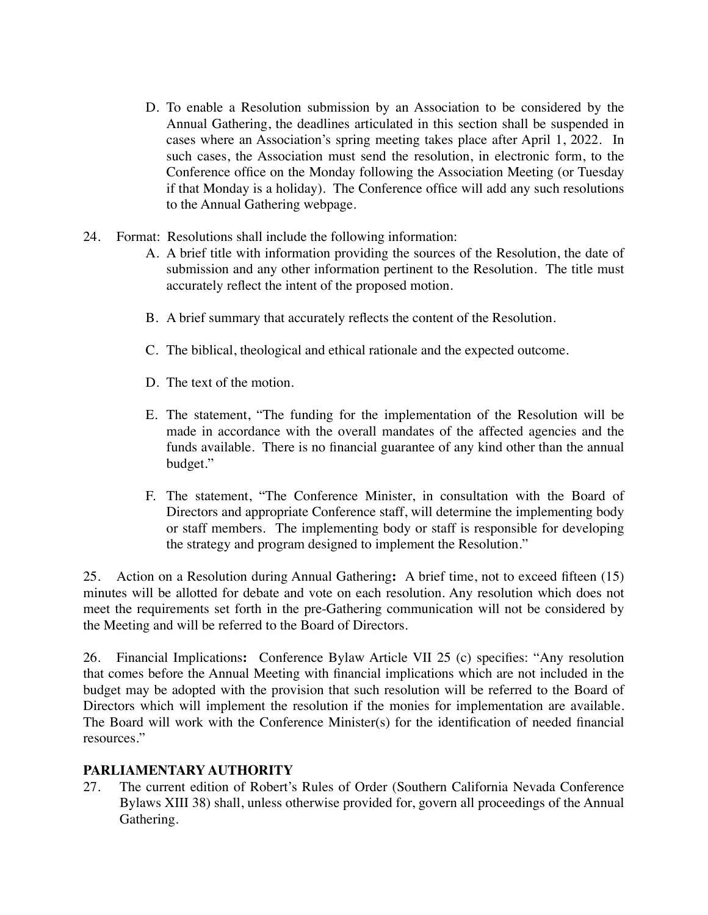- D. To enable a Resolution submission by an Association to be considered by the Annual Gathering, the deadlines articulated in this section shall be suspended in cases where an Association's spring meeting takes place after April 1, 2022. In such cases, the Association must send the resolution, in electronic form, to the Conference office on the Monday following the Association Meeting (or Tuesday if that Monday is a holiday). The Conference office will add any such resolutions to the Annual Gathering webpage.
- 24. Format: Resolutions shall include the following information:
	- A. A brief title with information providing the sources of the Resolution, the date of submission and any other information pertinent to the Resolution. The title must accurately reflect the intent of the proposed motion.
	- B. A brief summary that accurately reflects the content of the Resolution.
	- C. The biblical, theological and ethical rationale and the expected outcome.
	- D. The text of the motion.
	- E. The statement, "The funding for the implementation of the Resolution will be made in accordance with the overall mandates of the affected agencies and the funds available. There is no financial guarantee of any kind other than the annual budget."
	- F. The statement, "The Conference Minister, in consultation with the Board of Directors and appropriate Conference staff, will determine the implementing body or staff members. The implementing body or staff is responsible for developing the strategy and program designed to implement the Resolution."

25. Action on a Resolution during Annual Gathering**:** A brief time, not to exceed fifteen (15) minutes will be allotted for debate and vote on each resolution. Any resolution which does not meet the requirements set forth in the pre-Gathering communication will not be considered by the Meeting and will be referred to the Board of Directors.

26. Financial Implications**:** Conference Bylaw Article VII 25 (c) specifies: "Any resolution that comes before the Annual Meeting with financial implications which are not included in the budget may be adopted with the provision that such resolution will be referred to the Board of Directors which will implement the resolution if the monies for implementation are available. The Board will work with the Conference Minister(s) for the identification of needed financial resources."

#### **PARLIAMENTARY AUTHORITY**

27. The current edition of Robert's Rules of Order (Southern California Nevada Conference Bylaws XIII 38) shall, unless otherwise provided for, govern all proceedings of the Annual Gathering.